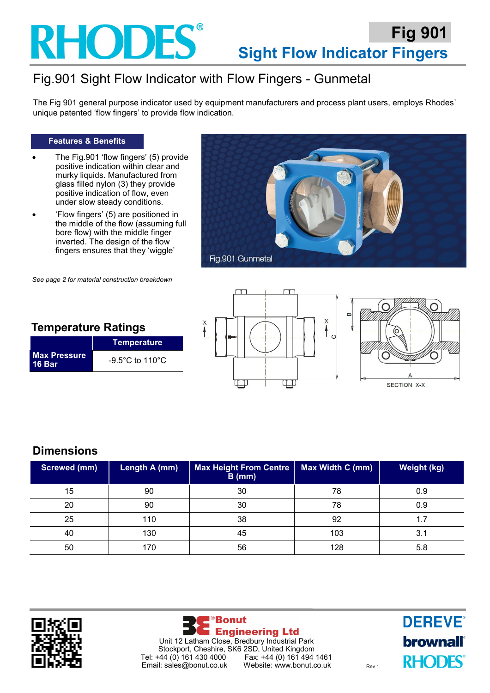## **RHODES**

### Fig.901 Sight Flow Indicator with Flow Fingers - Gunmetal

The Fig 901 general purpose indicator used by equipment manufacturers and process plant users, employs Rhodes' unique patented 'flow fingers' to provide flow indication.

#### **Features & Benefits**

- The Fig.901 'flow fingers' (5) provide positive indication within clear and murky liquids. Manufactured from glass filled nylon (3) they provide positive indication of flow, even under slow steady conditions.
- 'Flow fingers' (5) are positioned in the middle of the flow (assuming full bore flow) with the middle finger inverted. The design of the flow fingers ensures that they 'wiggle'



**Temperature Ratings**

**Temperature**

**16 Bar** -9.5°C to 110°C







#### **Dimensions**

**Max Pressure** 

| <b>Screwed (mm)</b> | Length A (mm) | <b>Max Height From Centre</b><br>$B$ (mm) | Max Width C (mm) | <b>Weight (kg)</b> |
|---------------------|---------------|-------------------------------------------|------------------|--------------------|
| 15                  | 90            | 30                                        | 78               | 0.9                |
| 20                  | 90            | 30                                        | 78               | 0.9                |
| 25                  | 110           | 38                                        | 92               |                    |
| 40                  | 130           | 45                                        | 103              | 3.1                |
| 50                  | 170           | 56                                        | 128              | 5.8                |